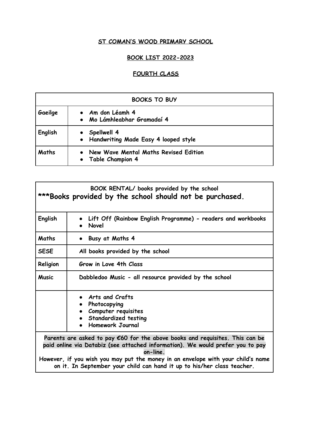# **ST COMAN'S WOOD PRIMARY SCHOOL**

## **BOOK LIST 2022-2023**

# **FOURTH CLASS**

| <b>BOOKS TO BUY</b> |                                                             |  |
|---------------------|-------------------------------------------------------------|--|
| Gaeilge             | • Am don Léamh 4<br>· Mo Lámhleabhar Gramadaí 4             |  |
| English             | • Spellwell 4<br>• Handwriting Made Easy 4 looped style     |  |
| Maths               | New Wave Mental Maths Revised Edition<br>• Table Champion 4 |  |

| BOOK RENTAL/ books provided by the school<br>***Books provided by the school should not be purchased. |                                                                                                                                                                                                                                                                                                                                                     |  |
|-------------------------------------------------------------------------------------------------------|-----------------------------------------------------------------------------------------------------------------------------------------------------------------------------------------------------------------------------------------------------------------------------------------------------------------------------------------------------|--|
| English                                                                                               | Lift Off (Rainbow English Programme) - readers and workbooks<br>Novel                                                                                                                                                                                                                                                                               |  |
| <b>Maths</b>                                                                                          | Busy at Maths 4<br>$\bullet$                                                                                                                                                                                                                                                                                                                        |  |
| <b>SESE</b>                                                                                           | All books provided by the school                                                                                                                                                                                                                                                                                                                    |  |
| Religion                                                                                              | Grow in Love 4th Class                                                                                                                                                                                                                                                                                                                              |  |
| Music                                                                                                 | Dabbledoo Music - all resource provided by the school                                                                                                                                                                                                                                                                                               |  |
|                                                                                                       | Arts and Crafts<br>Photocopying<br>Computer requisites<br>Standardized testing<br>Homework Journal                                                                                                                                                                                                                                                  |  |
|                                                                                                       | Parents are asked to pay $\epsilon$ 60 for the above books and requisites. This can be<br>paid online via Databiz (see attached information). We would prefer you to pay<br>on-line.<br>However, if you wish you may put the money in an envelope with your child's name<br>on it. In September your child can hand it up to his/her class teacher. |  |